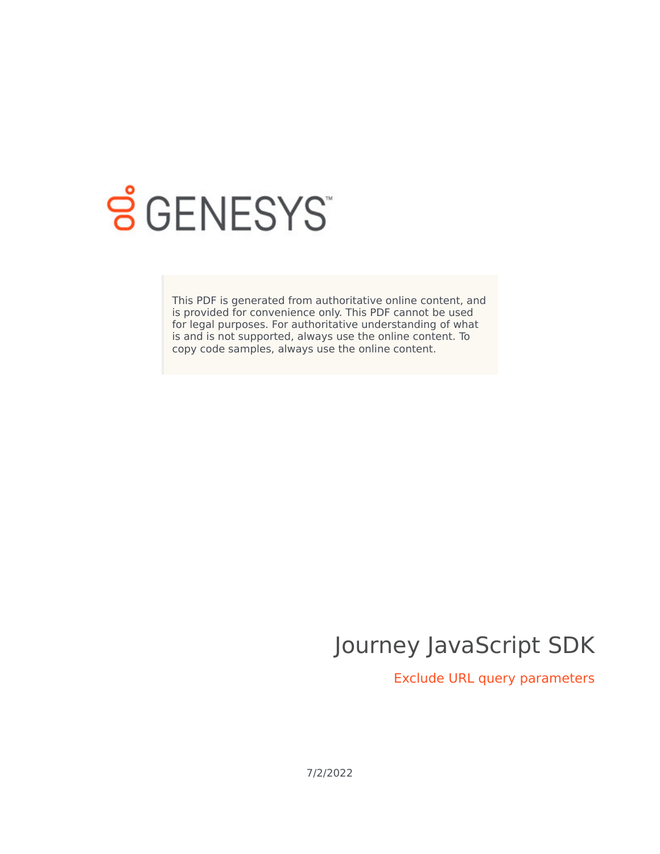

# **S** GENESYS

This PDF is generated from authoritative online content, and is provided for convenience only. This PDF cannot be used for legal purposes. For authoritative understanding of what is and is not supported, always use the online content. To copy code samples, always use the online content.

# Journey JavaScript SDK

Exclude URL query parameters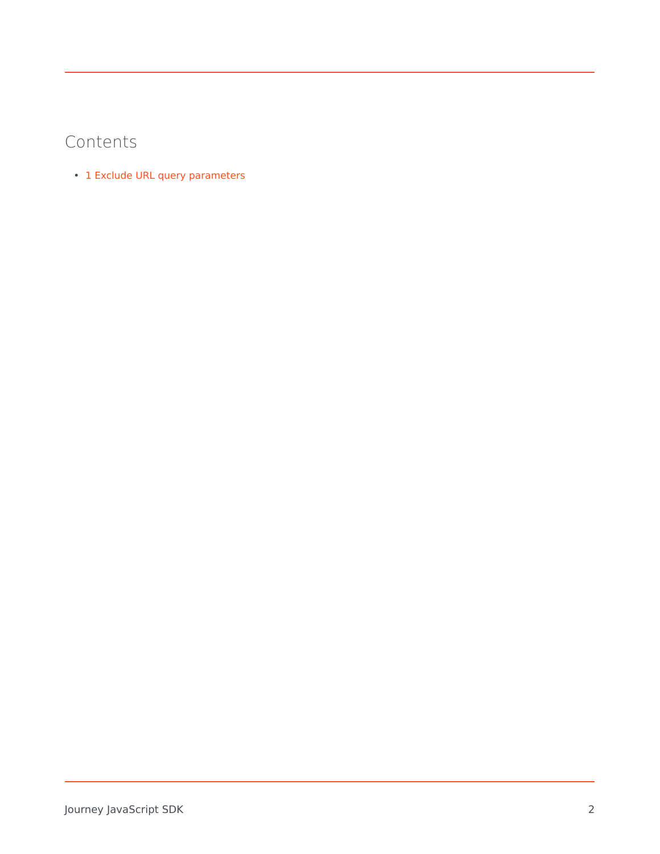## Contents

• 1 [Exclude URL query parameters](#page-2-0)